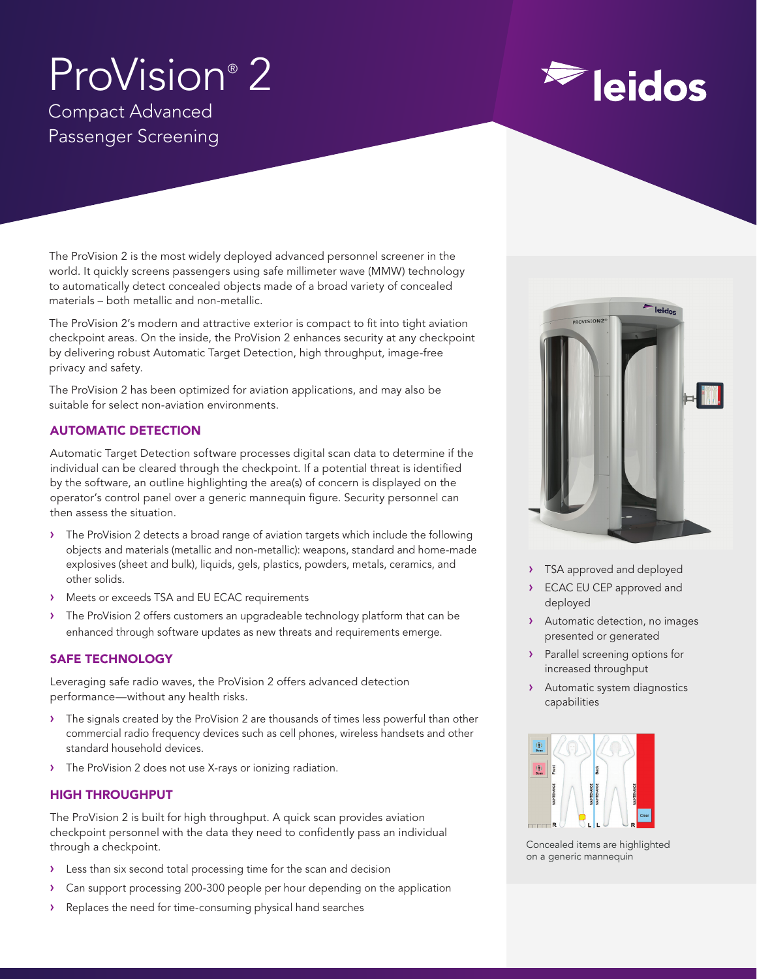# ProVision® 2 Compact Advanced Passenger Screening

The ProVision 2 is the most widely deployed advanced personnel screener in the world. It quickly screens passengers using safe millimeter wave (MMW) technology to automatically detect concealed objects made of a broad variety of concealed materials – both metallic and non-metallic.

The ProVision 2's modern and attractive exterior is compact to fit into tight aviation checkpoint areas. On the inside, the ProVision 2 enhances security at any checkpoint by delivering robust Automatic Target Detection, high throughput, image-free privacy and safety.

The ProVision 2 has been optimized for aviation applications, and may also be suitable for select non-aviation environments.

# AUTOMATIC DETECTION

Automatic Target Detection software processes digital scan data to determine if the individual can be cleared through the checkpoint. If a potential threat is identified by the software, an outline highlighting the area(s) of concern is displayed on the operator's control panel over a generic mannequin figure. Security personnel can then assess the situation.

- › The ProVision 2 detects a broad range of aviation targets which include the following objects and materials (metallic and non-metallic): weapons, standard and home-made explosives (sheet and bulk), liquids, gels, plastics, powders, metals, ceramics, and other solids.
- › Meets or exceeds TSA and EU ECAC requirements
- The ProVision 2 offers customers an upgradeable technology platform that can be enhanced through software updates as new threats and requirements emerge.

# SAFE TECHNOLOGY

Leveraging safe radio waves, the ProVision 2 offers advanced detection performance—without any health risks.

- › The signals created by the ProVision 2 are thousands of times less powerful than other commercial radio frequency devices such as cell phones, wireless handsets and other standard household devices.
- › The ProVision 2 does not use X-rays or ionizing radiation.

# HIGH THROUGHPUT

The ProVision 2 is built for high throughput. A quick scan provides aviation checkpoint personnel with the data they need to confidently pass an individual through a checkpoint.

- › Less than six second total processing time for the scan and decision
- › Can support processing 200-300 people per hour depending on the application
- › Replaces the need for time-consuming physical hand searches



**Eleidos** 

- > TSA approved and deployed
- ECAC EU CEP approved and deployed
- › Automatic detection, no images presented or generated
- › Parallel screening options for increased throughput
- › Automatic system diagnostics capabilities



Concealed items are highlighted on a generic mannequin